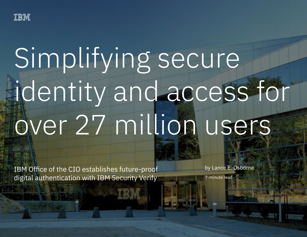

# Simplifying secure identity and access for over 27 million users

IBM Office of the CIO establishes future-proof digital authentication with IBM Security Verify

by Lance E. Osborne

7-minute read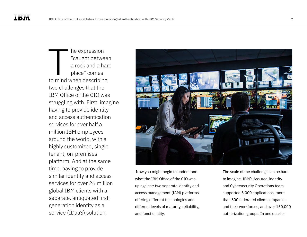he expression "caught between a rock and a hard place" comes to mind when describing<br>
to mind when describing<br>
The mind when describing two challenges that the IBM Office of the CIO was struggling with. First, imagine having to provide identity and access authentication services for over half a million IBM employees around the world, with a highly customized, single tenant, on-premises platform. And at the same time, having to provide similar identity and access services for over 26 million global IBM clients with a separate, antiquated firstgeneration identity as a service (IDaaS) solution.



 Now you might begin to understand what the IBM Office of the CIO was up against: two separate identity and access management (IAM) platforms offering different technologies and different levels of maturity, reliability, and functionality.

The scale of the challenge can be hard to imagine. IBM's Assured Identity and Cybersecurity Operations team supported 5,000 applications, more than 600 federated client companies and their workforces, and over 150,000 authorization groups. In one quarter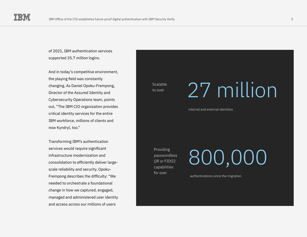of 2021, IBM authentication services supported 35.7 million logins.

And in today's competitive environment, the playing field was constantly changing. As Daniel Opoku-Frempong, Director of the Assured Identity and Cybersecurity Operations team, points out, "The IBM CIO organization provides critical identity services for the entire IBM workforce, millions of clients and now Kyndryl, too."

Transforming IBM's authentication services would require significant infrastructure modernization and consolidation to efficiently deliver largescale reliability and security. Opoku-Frempong describes the difficulty: "We needed to orchestrate a foundational change in how we captured, engaged, managed and administered user identity and access across our millions of users

**Scalable** to over

### 27 million

internal and external identities

Providing passwordless QR or FIDO2 capabilities for over

800,000

authentications since the migration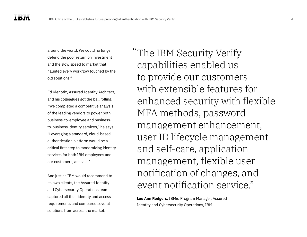around the world. We could no longer defend the poor return on investment and the slow speed to market that haunted every workflow touched by the old solutions."

Ed Klenotiz, Assured Identity Architect, and his colleagues got the ball rolling. "We completed a competitive analysis of the leading vendors to power both business-to-employee and businessto-business identity services," he says. "Leveraging a standard, cloud-based authentication platform would be a critical first step to modernizing identity services for both IBM employees and our customers, at scale."

And just as IBM would recommend to its own clients, the Assured Identity and Cybersecurity Operations team captured all their identity and access requirements and compared several solutions from across the market.

The IBM Security Verify " capabilities enabled us to provide our customers with extensible features for enhanced security with flexible MFA methods, password management enhancement, user ID lifecycle management and self-care, application management, flexible user notification of changes, and event notification service."

**Lee Ann Rodgers**, IBMid Program Manager, Assured Identity and Cybersecurity Operations, IBM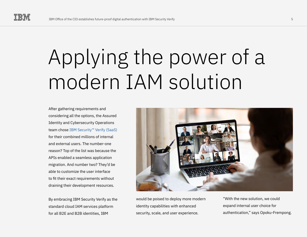### Applying the power of a modern IAM solution

After gathering requirements and considering all the options, the Assured Identity and Cybersecurity Operations team chose [IBM Security™ Verify \(SaaS\)](https://www.ibm.com/products/verify-saas) for their combined millions of internal and external users. The number-one reason? Top of the list was because the APIs enabled a seamless application migration. And number two? They'd be able to customize the user interface to fit their exact requirements without draining their development resources.

By embracing IBM Security Verify as the standard cloud IAM services platform for all B2E and B2B identities, IBM



would be poised to deploy more modern identity capabilities with enhanced security, scale, and user experience.

"With the new solution, we could expand internal user choice for authentication," says Opoku-Frempong.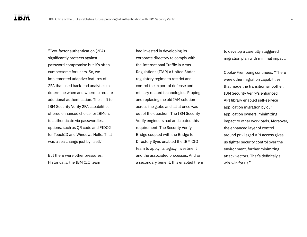"Two-factor authentication (2FA) significantly protects against password compromise but it's often cumbersome for users. So, we implemented adaptive features of 2FA that used back-end analytics to determine when and where to require additional authentication. The shift to IBM Security Verify 2FA capabilities offered enhanced choice for IBMers to authenticate via passwordless options, such as QR code and FIDO2 for TouchID and Windows Hello. That was a sea change just by itself."

But there were other pressures. Historically, the IBM CIO team

had invested in developing its corporate directory to comply with the International Traffic in Arms Regulations (ITAR) a United States regulatory regime to restrict and control the export of defense and military related technologies. Ripping and replacing the old IAM solution across the globe and all at once was out of the question. The IBM Security Verify engineers had anticipated this requirement. The Security Verify Bridge coupled with the Bridge for Directory Sync enabled the IBM CIO team to apply its legacy investment and the associated processes. And as a secondary benefit, this enabled them

to develop a carefully staggered migration plan with minimal impact.

Opoku-Frempong continues: "There were other migration capabilities that made the transition smoother. IBM Security Verify's enhanced API library enabled self-service application migration by our application owners, minimizing impact to other workloads. Moreover, the enhanced layer of control around privileged API access gives us tighter security control over the environment, further minimizing attack vectors. That's definitely a win-win for us."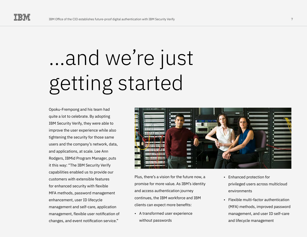## ...and we're just getting started

Opoku-Frempong and his team had quite a lot to celebrate. By adopting IBM Security Verify, they were able to improve the user experience while also tightening the security for those same users and the company's network, data, and applications, at scale. Lee Ann Rodgers, IBMid Program Manager, puts it this way: "The IBM Security Verify capabilities enabled us to provide our customers with extensible features for enhanced security with flexible MFA methods, password management enhancement, user ID lifecycle management and self-care, application management, flexible user notification of changes, and event notification service."



Plus, there's a vision for the future now, a promise for more value. As IBM's identity and access authentication journey continues, the IBM workforce and IBM clients can expect more benefits:

• A transformed user experience without passwords

- Enhanced protection for privileged users across multicloud environments
- Flexible multi-factor authentication (MFA) methods, improved password management, and user ID self-care and lifecycle management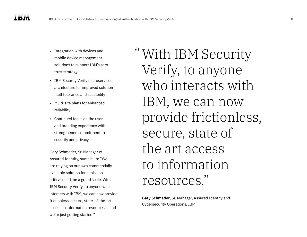- Integration with devices and mobile device management solutions to support IBM's zerotrust strategy
- IBM Security Verify microservices architecture for improved solution fault tolerance and scalability
- Multi-site plans for enhanced reliability
- Continued focus on the user and branding experience with strengthened commitment to security and privacy.

Gary Schmader, Sr. Manager of Assured Identity, sums it up: "We are relying on our own commercially available solution for a missioncritical need, on a grand scale. With IBM Security Verify, to anyone who interacts with IBM, we can now provide frictionless, secure, state-of-the-art access to information resources … and we're just getting started."

With IBM Security " Verify, to anyone who interacts with IBM, we can now provide frictionless, secure, state of the art access to information resources."

**Gary Schmader**, Sr. Manager, Assured Identity and Cybersecurity Operations, IBM